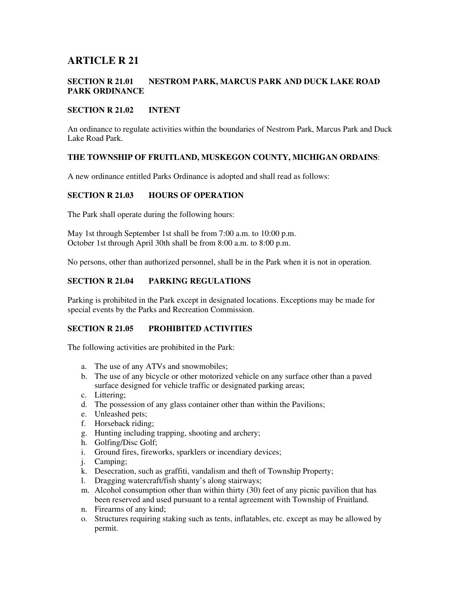# **ARTICLE R 21**

### **SECTION R 21.01 NESTROM PARK, MARCUS PARK AND DUCK LAKE ROAD PARK ORDINANCE**

#### **SECTION R 21.02 INTENT**

An ordinance to regulate activities within the boundaries of Nestrom Park, Marcus Park and Duck Lake Road Park.

#### **THE TOWNSHIP OF FRUITLAND, MUSKEGON COUNTY, MICHIGAN ORDAINS**:

A new ordinance entitled Parks Ordinance is adopted and shall read as follows:

#### **SECTION R 21.03 HOURS OF OPERATION**

The Park shall operate during the following hours:

May 1st through September 1st shall be from 7:00 a.m. to 10:00 p.m. October 1st through April 30th shall be from 8:00 a.m. to 8:00 p.m.

No persons, other than authorized personnel, shall be in the Park when it is not in operation.

#### **SECTION R 21.04 PARKING REGULATIONS**

Parking is prohibited in the Park except in designated locations. Exceptions may be made for special events by the Parks and Recreation Commission.

## **SECTION R 21.05 PROHIBITED ACTIVITIES**

The following activities are prohibited in the Park:

- a. The use of any ATVs and snowmobiles;
- b. The use of any bicycle or other motorized vehicle on any surface other than a paved surface designed for vehicle traffic or designated parking areas;
- c. Littering;
- d. The possession of any glass container other than within the Pavilions;
- e. Unleashed pets;
- f. Horseback riding;
- g. Hunting including trapping, shooting and archery;
- h. Golfing/Disc Golf;
- i. Ground fires, fireworks, sparklers or incendiary devices;
- j. Camping;
- k. Desecration, such as graffiti, vandalism and theft of Township Property;
- l. Dragging watercraft/fish shanty's along stairways;
- m. Alcohol consumption other than within thirty (30) feet of any picnic pavilion that has been reserved and used pursuant to a rental agreement with Township of Fruitland.
- n. Firearms of any kind;
- o. Structures requiring staking such as tents, inflatables, etc. except as may be allowed by permit.